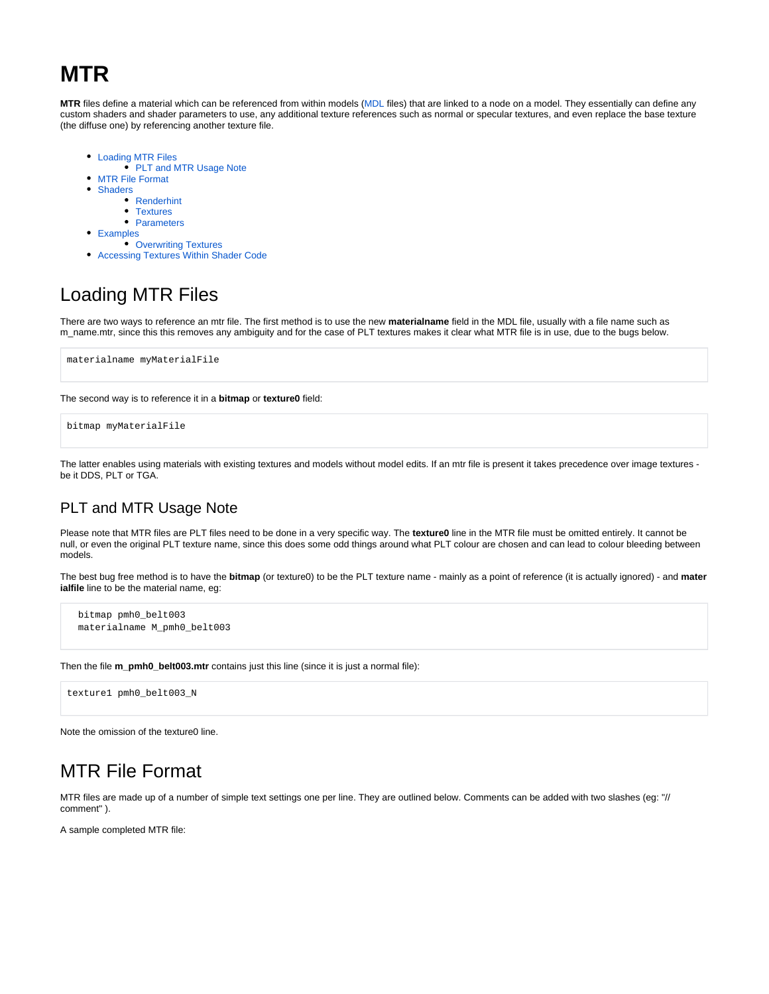# **MTR**

**MTR** files define a material which can be referenced from within models [\(MDL](https://nwn.wiki/display/NWN1/MDL) files) that are linked to a node on a model. They essentially can define any custom shaders and shader parameters to use, any additional texture references such as normal or specular textures, and even replace the base texture (the diffuse one) by referencing another texture file.

- [Loading MTR Files](#page-0-0)
	- [PLT and MTR Usage Note](#page-0-1)
- [MTR File Format](#page-0-2)
- $\bullet$ **[Shaders](#page-1-0)** 
	- [Renderhint](#page-1-1)
		- [Textures](#page-1-2)
	- [Parameters](#page-2-0)
- [Examples](#page-2-1)
- [Overwriting Textures](#page-2-2)
- $\bullet$ [Accessing Textures Within Shader Code](#page-3-0)

# <span id="page-0-0"></span>Loading MTR Files

There are two ways to reference an mtr file. The first method is to use the new **materialname** field in the MDL file, usually with a file name such as m\_name.mtr, since this this removes any ambiguity and for the case of PLT textures makes it clear what MTR file is in use, due to the bugs below.

```
materialname myMaterialFile
```
The second way is to reference it in a **bitmap** or **texture0** field:

```
bitmap myMaterialFile
```
The latter enables using materials with existing textures and models without model edits. If an mtr file is present it takes precedence over image textures be it DDS, PLT or TGA.

### <span id="page-0-1"></span>PLT and MTR Usage Note

Please note that MTR files are PLT files need to be done in a very specific way. The **texture0** line in the MTR file must be omitted entirely. It cannot be null, or even the original PLT texture name, since this does some odd things around what PLT colour are chosen and can lead to colour bleeding between models.

The best bug free method is to have the **bitmap** (or texture0) to be the PLT texture name - mainly as a point of reference (it is actually ignored) - and **mater ialfile** line to be the material name, eg:

```
 bitmap pmh0_belt003
 materialname M_pmh0_belt003
```
Then the file **m\_pmh0\_belt003.mtr** contains just this line (since it is just a normal file):

texture1 pmh0\_belt003\_N

Note the omission of the texture0 line.

## <span id="page-0-2"></span>MTR File Format

MTR files are made up of a number of simple text settings one per line. They are outlined below. Comments can be added with two slashes (eg: "// comment" ).

A sample completed MTR file: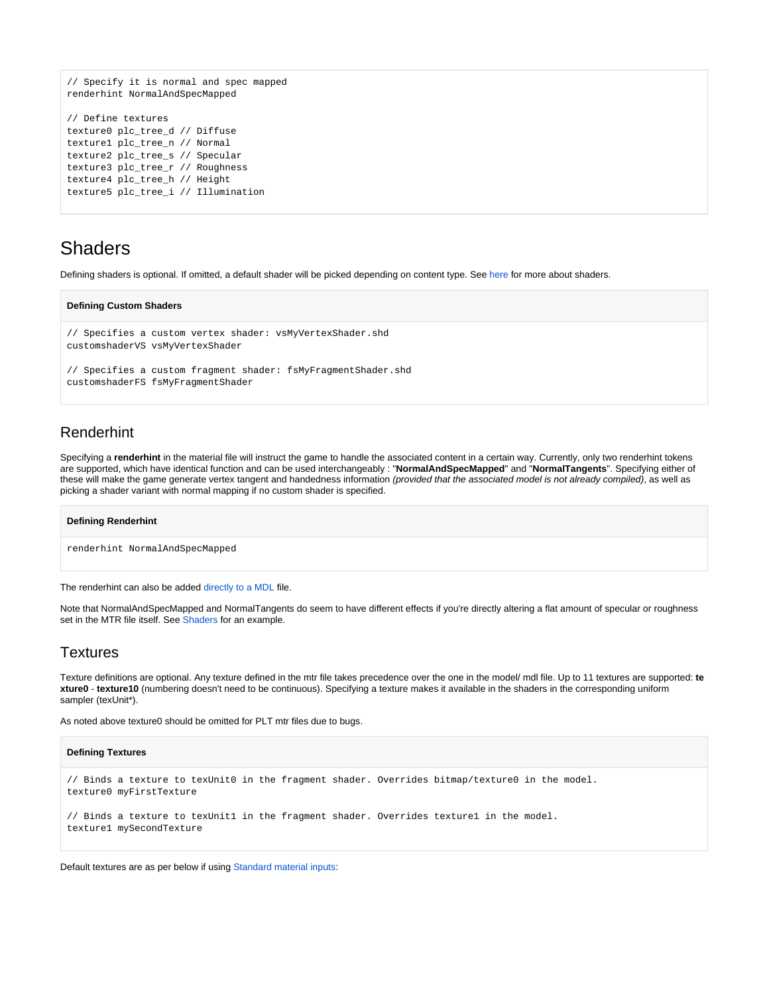```
// Specify it is normal and spec mapped
renderhint NormalAndSpecMapped
// Define textures
texture0 plc_tree_d // Diffuse
texture1 plc_tree_n // Normal
texture2 plc_tree_s // Specular
texture3 plc_tree_r // Roughness
texture4 plc_tree_h // Height
texture5 plc_tree_i // Illumination
```
## <span id="page-1-0"></span>**Shaders**

Defining shaders is optional. If omitted, a default shader will be picked depending on content type. See [here](https://nwn.wiki/display/NWN1/Shader+Engine+Support) for more about shaders.

**Defining Custom Shaders**

```
// Specifies a custom vertex shader: vsMyVertexShader.shd
customshaderVS vsMyVertexShader 
// Specifies a custom fragment shader: fsMyFragmentShader.shd
```
customshaderFS fsMyFragmentShader

### <span id="page-1-1"></span>Renderhint

Specifying a **renderhint** in the material file will instruct the game to handle the associated content in a certain way. Currently, only two renderhint tokens are supported, which have identical function and can be used interchangeably : "**NormalAndSpecMapped**" and "**NormalTangents**". Specifying either of these will make the game generate vertex tangent and handedness information (provided that the associated model is not already compiled), as well as picking a shader variant with normal mapping if no custom shader is specified.

#### **Defining Renderhint**

renderhint NormalAndSpecMapped

The renderhint can also be added [directly to a MDL](https://nwn.wiki/display/NWN1/MDL+ASCII#MDLASCII-MDLAscii-node-renderhint) file.

Note that NormalAndSpecMapped and NormalTangents do seem to have different effects if you're directly altering a flat amount of specular or roughness set in the MTR file itself. See [Shaders](https://nwn.wiki/display/NWN1/Shaders) for an example.

#### <span id="page-1-2"></span>Textures

Texture definitions are optional. Any texture defined in the mtr file takes precedence over the one in the model/ mdl file. Up to 11 textures are supported: **te xture0** - **texture10** (numbering doesn't need to be continuous). Specifying a texture makes it available in the shaders in the corresponding uniform sampler (texUnit\*).

As noted above texture0 should be omitted for PLT mtr files due to bugs.

#### **Defining Textures**

```
// Binds a texture to texUnit0 in the fragment shader. Overrides bitmap/texture0 in the model.
texture0 myFirstTexture
// Binds a texture to texUnit1 in the fragment shader. Overrides texture1 in the model.
texture1 mySecondTexture
```
Default textures are as per below if using [Standard material inputs](https://nwn.wiki/display/NWN1/Standard+material+inputs):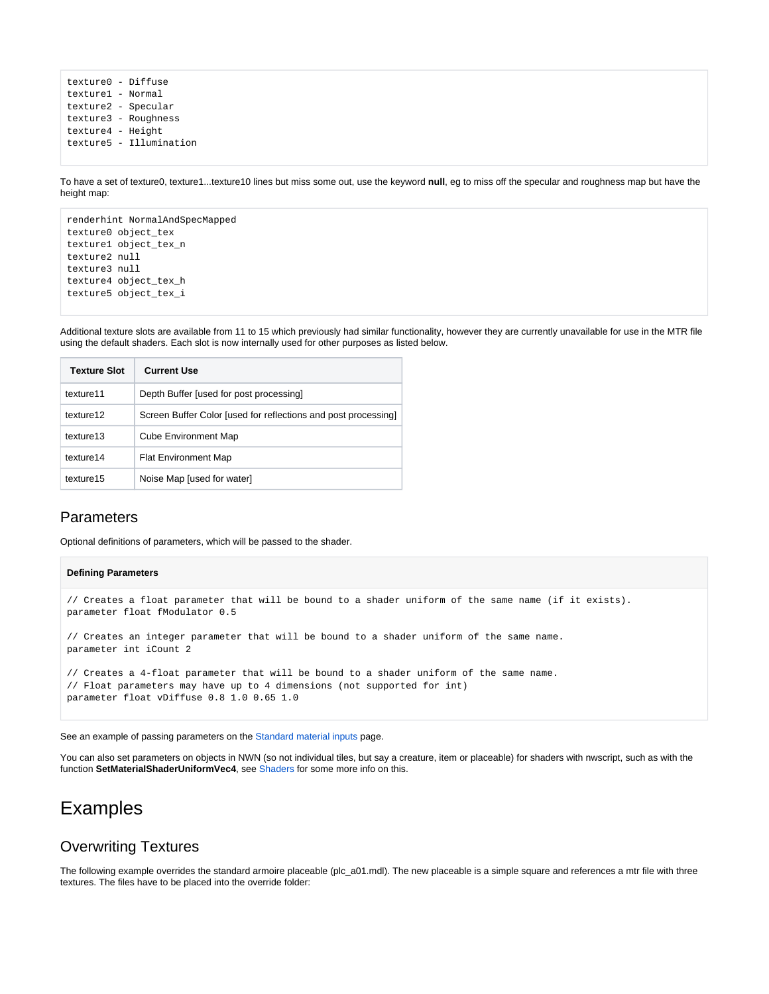texture0 - Diffuse texture1 - Normal texture2 - Specular texture3 - Roughness texture4 - Height texture5 - Illumination

To have a set of texture0, texture1...texture10 lines but miss some out, use the keyword **null**, eg to miss off the specular and roughness map but have the height map:

renderhint NormalAndSpecMapped texture0 object\_tex texture1 object\_tex\_n texture2 null texture3 null texture4 object\_tex\_h texture5 object\_tex\_i

Additional texture slots are available from 11 to 15 which previously had similar functionality, however they are currently unavailable for use in the MTR file using the default shaders. Each slot is now internally used for other purposes as listed below.

| <b>Texture Slot</b> | <b>Current Use</b>                                             |
|---------------------|----------------------------------------------------------------|
| texture11           | Depth Buffer [used for post processing]                        |
| texture12           | Screen Buffer Color [used for reflections and post processing] |
| texture13           | <b>Cube Environment Map</b>                                    |
| texture14           | <b>Flat Environment Map</b>                                    |
| texture15           | Noise Map [used for water]                                     |

### <span id="page-2-0"></span>Parameters

Optional definitions of parameters, which will be passed to the shader.

### **Defining Parameters** // Creates a float parameter that will be bound to a shader uniform of the same name (if it exists). parameter float fModulator 0.5 // Creates an integer parameter that will be bound to a shader uniform of the same name. parameter int iCount 2 // Creates a 4-float parameter that will be bound to a shader uniform of the same name. // Float parameters may have up to 4 dimensions (not supported for int) parameter float vDiffuse 0.8 1.0 0.65 1.0

See an example of passing parameters on the [Standard material inputs](https://nwn.wiki/display/NWN1/Standard+material+inputs) page.

You can also set parameters on objects in NWN (so not individual tiles, but say a creature, item or placeable) for shaders with nwscript, such as with the function **SetMaterialShaderUniformVec4**, see [Shaders](https://nwn.wiki/display/NWN1/Shaders) for some more info on this.

## <span id="page-2-1"></span>Examples

### <span id="page-2-2"></span>Overwriting Textures

The following example overrides the standard armoire placeable (plc\_a01.mdl). The new placeable is a simple square and references a mtr file with three textures. The files have to be placed into the override folder: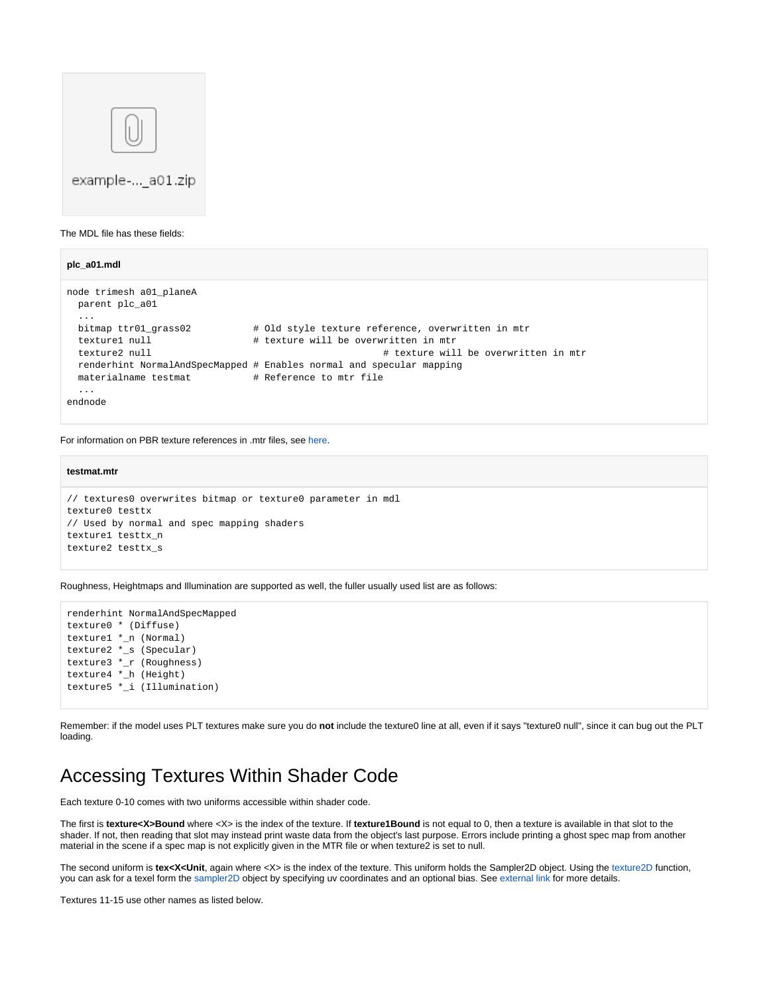

The MDL file has these fields:

```
plc_a01.mdl
node trimesh a01_planeA
  parent plc_a01
 ...
  bitmap ttr01_grass02 # Old style texture reference, overwritten in mtr
 texture1 null \qquad # texture will be overwritten in mtr
 texture2 null \# texture will be overwritten in mtr
  renderhint NormalAndSpecMapped # Enables normal and specular mapping
 materialname testmat # Reference to mtr file
  ...
endnode
```
For information on PBR texture references in .mtr files, see [here.](https://nwn.wiki/display/NWN1/Standard+material+inputs)

#### **testmat.mtr**

```
// textures0 overwrites bitmap or texture0 parameter in mdl
texture0 testtx
// Used by normal and spec mapping shaders
texture1 testtx_n
texture2 testtx_s
```
Roughness, Heightmaps and Illumination are supported as well, the fuller usually used list are as follows:

```
renderhint NormalAndSpecMapped
texture0 * (Diffuse)
texture1 *_n (Normal)
texture2 *_s (Specular)
texture3 *_r (Roughness)
texture4 *_h (Height)
texture5 *_i (Illumination)
```
Remember: if the model uses PLT textures make sure you do **not** include the texture0 line at all, even if it says "texture0 null", since it can bug out the PLT loading.

## <span id="page-3-0"></span>Accessing Textures Within Shader Code

Each texture 0-10 comes with two uniforms accessible within shader code.

The first is **texture<X>Bound** where <X> is the index of the texture. If **texture1Bound** is not equal to 0, then a texture is available in that slot to the shader. If not, then reading that slot may instead print waste data from the object's last purpose. Errors include printing a ghost spec map from another material in the scene if a spec map is not explicitly given in the MTR file or when texture2 is set to null.

The second uniform is *tex<X<Unit*, again where <X> is the index of the texture. This uniform holds the Sampler2D object. Using the [texture2D](https://thebookofshaders.com/glossary/?search=texture2D) function, you can ask for a texel form the [sampler2D](https://www.khronos.org/opengl/wiki/Sampler_(GLSL)) object by specifying uv coordinates and an optional bias. See [external link](https://thebookofshaders.com/glossary/?search=texture2D) for more details.

Textures 11-15 use other names as listed below.